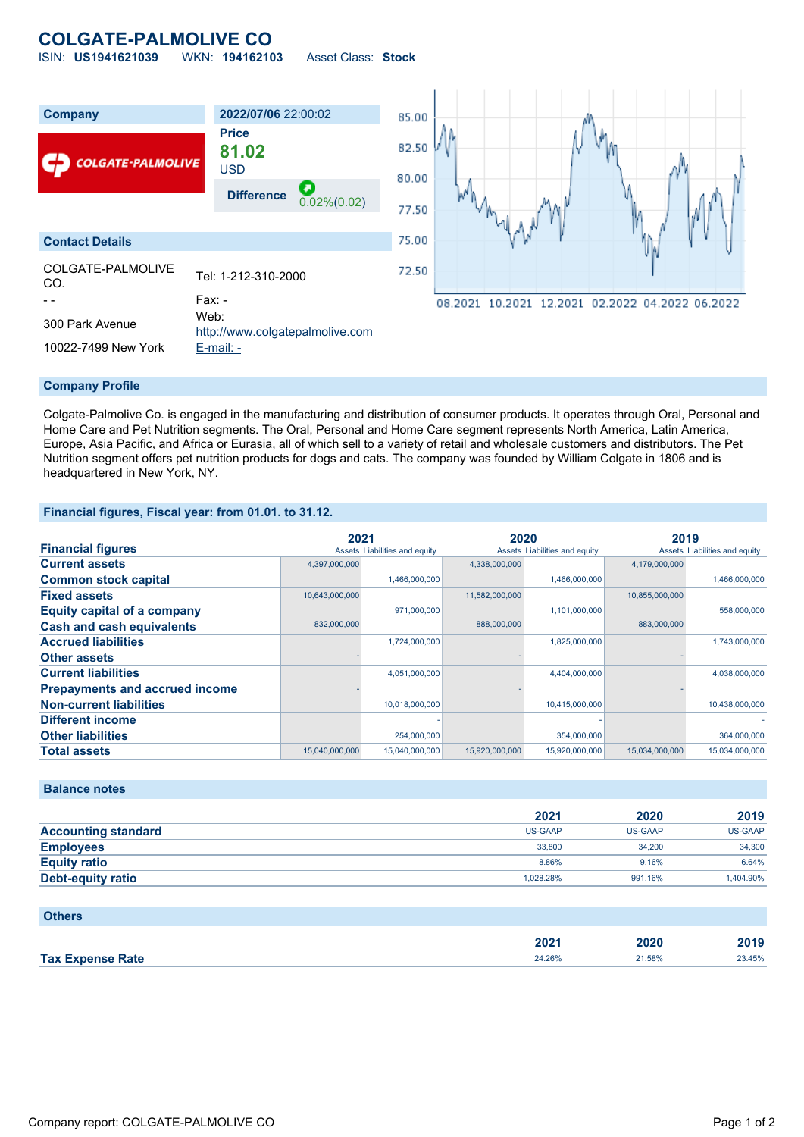# **COLGATE-PALMOLIVE CO**

ISIN: **US1941621039** WKN: **194162103** Asset Class: **Stock**



Colgate-Palmolive Co. is engaged in the manufacturing and distribution of consumer products. It operates through Oral, Personal and Home Care and Pet Nutrition segments. The Oral, Personal and Home Care segment represents North America, Latin America, Europe, Asia Pacific, and Africa or Eurasia, all of which sell to a variety of retail and wholesale customers and distributors. The Pet Nutrition segment offers pet nutrition products for dogs and cats. The company was founded by William Colgate in 1806 and is headquartered in New York, NY.

#### **Financial figures, Fiscal year: from 01.01. to 31.12.**

|                                       | 2021           |                               | 2020           |                               | 2019           |                               |
|---------------------------------------|----------------|-------------------------------|----------------|-------------------------------|----------------|-------------------------------|
| <b>Financial figures</b>              |                | Assets Liabilities and equity |                | Assets Liabilities and equity |                | Assets Liabilities and equity |
| <b>Current assets</b>                 | 4,397,000,000  |                               | 4,338,000,000  |                               | 4,179,000,000  |                               |
| <b>Common stock capital</b>           |                | 1,466,000,000                 |                | 1,466,000,000                 |                | 1,466,000,000                 |
| <b>Fixed assets</b>                   | 10,643,000,000 |                               | 11,582,000,000 |                               | 10,855,000,000 |                               |
| <b>Equity capital of a company</b>    |                | 971.000.000                   |                | 1,101,000,000                 |                | 558,000,000                   |
| <b>Cash and cash equivalents</b>      | 832,000,000    |                               | 888,000,000    |                               | 883,000,000    |                               |
| <b>Accrued liabilities</b>            |                | 1,724,000,000                 |                | 1,825,000,000                 |                | 1,743,000,000                 |
| <b>Other assets</b>                   |                |                               |                |                               |                |                               |
| <b>Current liabilities</b>            |                | 4,051,000,000                 |                | 4,404,000,000                 |                | 4,038,000,000                 |
| <b>Prepayments and accrued income</b> |                |                               |                |                               |                |                               |
| <b>Non-current liabilities</b>        |                | 10,018,000,000                |                | 10,415,000,000                |                | 10,438,000,000                |
| <b>Different income</b>               |                |                               |                |                               |                |                               |
| <b>Other liabilities</b>              |                | 254,000,000                   |                | 354,000,000                   |                | 364,000,000                   |
| <b>Total assets</b>                   | 15,040,000,000 | 15,040,000,000                | 15,920,000,000 | 15,920,000,000                | 15,034,000,000 | 15,034,000,000                |

### **Balance notes**

|                            | 2021      | 2020           | 2019           |
|----------------------------|-----------|----------------|----------------|
| <b>Accounting standard</b> | US-GAAP   | <b>US-GAAP</b> | <b>US-GAAP</b> |
| <b>Employees</b>           | 33,800    | 34.200         | 34,300         |
| <b>Equity ratio</b>        | 8.86%     | 9.16%          | 6.64%          |
| <b>Debt-equity ratio</b>   | 1.028.28% | 991.16%        | 1.404.90%      |

| <b>Others</b>           |        |        |        |
|-------------------------|--------|--------|--------|
|                         | 2021   | 2020   | 2019   |
| <b>Tax Expense Rate</b> | 24.26% | 21.58% | 23.45% |